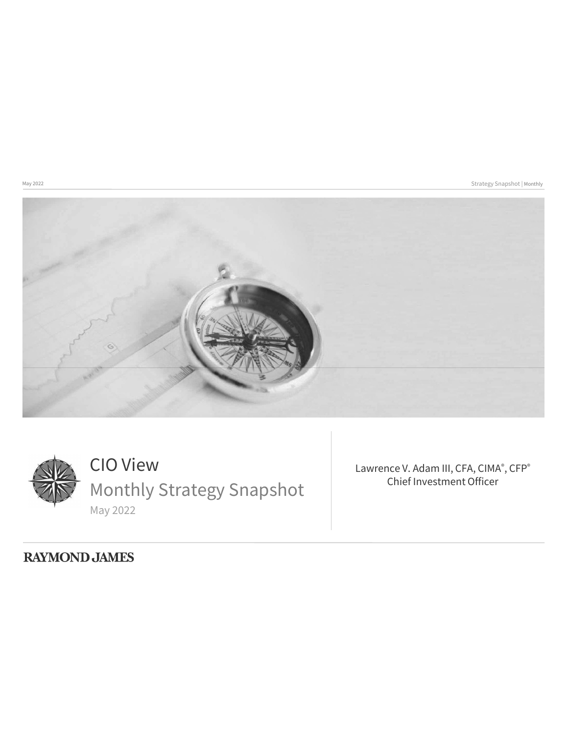May 2022 Strategy Snapshot | Monthly





CIO View Monthly Strategy Snapshot May 2022

Lawrence V. Adam III, CFA, CIMA®, CFP® Chief Investment Officer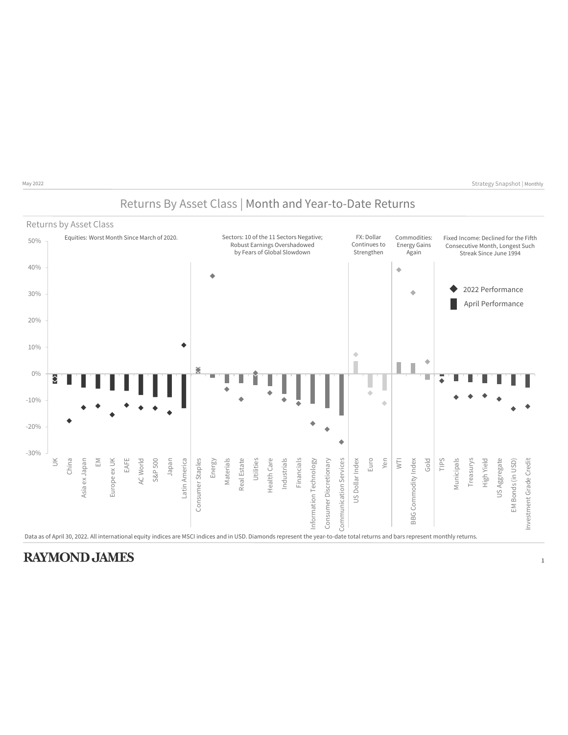### Returns By Asset Class | Month and Year-to-Date Returns

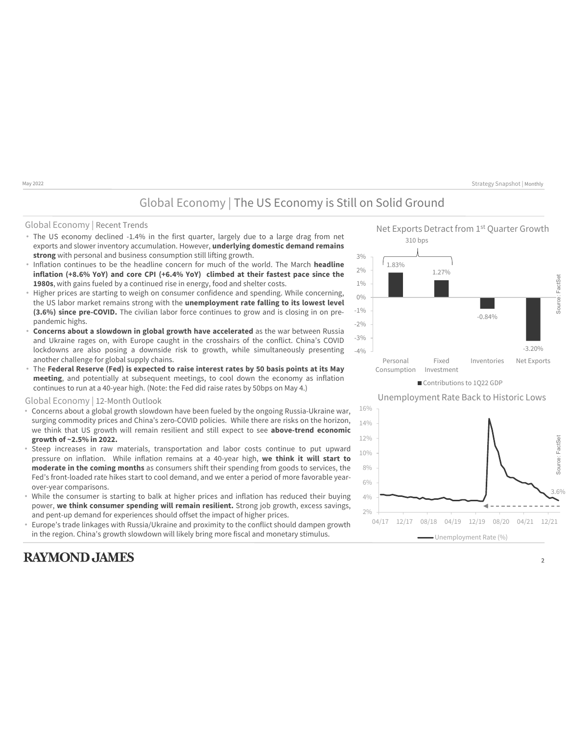### Global Economy | The US Economy is Still on Solid Ground

### Global Economy | Recent Trends

- exports and slower inventory accumulation. However, **underlying domestic demand remains strong** with personal and business consumption still lifting growth.
- Inflation continues to be the headline concern for much of the world. The March **headline inflation (+8.6% YoY) and core CPI (+6.4% YoY) climbed at their fastest pace since the 1980s**, with gains fueled by a continued rise in energy, food and shelter costs.
- Higher prices are starting to weigh on consumer confidence and spending. While concerning, the US labor market remains strong with the **unemployment rate falling to its lowest level (3.6%) since pre-COVID.** The civilian labor force continues to grow and is closing in on prepandemic highs.
- **Concerns about a slowdown in global growth have accelerated** as the war between Russia and Ukraine rages on, with Europe caught in the crosshairs of the conflict. China's COVID lockdowns are also posing a downside risk to growth, while simultaneously presenting another challenge for global supply chains.
- The **Federal Reserve (Fed) is expected to raise interest rates by 50 basis points at its May meeting**, and potentially at subsequent meetings, to cool down the economy as inflation continues to run at a 40-year high. (Note: the Fed did raise rates by 50bps on May 4.)

### Global Economy | 12-Month Outlook

- Concerns about a global growth slowdown have been fueled by the ongoing Russia-Ukraine war, surging commodity prices and China's zero-COVID policies. While there are risks on the horizon, we think that US growth will remain resilient and still expect to see **above-trend economic growth of ~2.5% in 2022.**
- Steep increases in raw materials, transportation and labor costs continue to put upward pressure on inflation. While inflation remains at a 40-year high, **we think it will start to moderate in the coming months** as consumers shift their spending from goods to services, the Fed's front-loaded rate hikes start to cool demand, and we enter a period of more favorable yearover-year comparisons.
- While the consumer is starting to balk at higher prices and inflation has reduced their buying power, **we think consumer spending will remain resilient.** Strong job growth, excess savings, and pent-up demand for experiences should offset the impact of higher prices.
- Europe's trade linkages with Russia/Ukraine and proximity to the conflict should dampen growth in the region. China's growth slowdown will likely bring more fiscal and monetary stimulus.

### **RAYMOND JAMES**



Unemployment Rate Back to Historic Lows

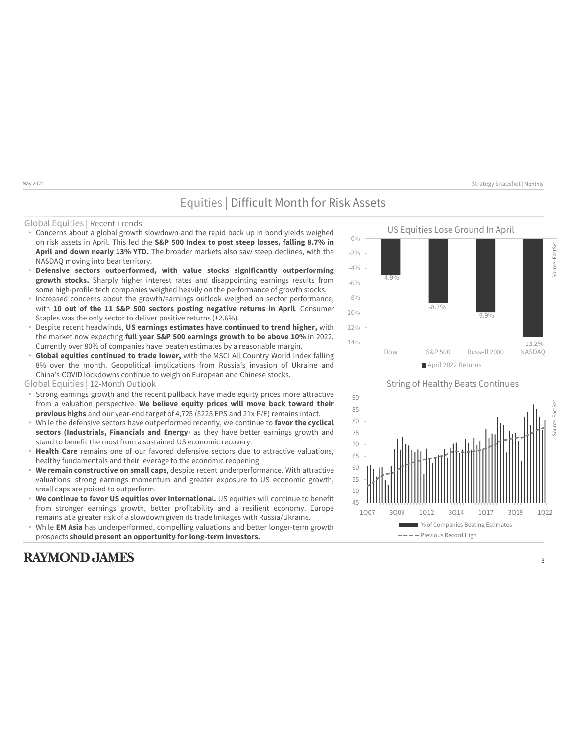### Equities | Difficult Month for Risk Assets

#### Global Equities | Recent Trends

- Concerns about a global growth slowdown and the rapid back up in bond yields weighed on risk assets in April. This led the **S&P 500 Index to post steep losses, falling 8.7% in April and down nearly 13% YTD.** The broader markets also saw steep declines, with the NASDAQ moving into bear territory.
- **Defensive sectors outperformed, with value stocks significantly outperforming growth stocks.** Sharply higher interest rates and disappointing earnings results from some high-profile tech companies weighed heavily on the performance of growth stocks.
- Increased concerns about the growth/earnings outlook weighed on sector performance, with **10 out of the 11 S&P 500 sectors posting negative returns in April**. Consumer Staples was the only sector to deliver positive returns (+2.6%).
- Despite recent headwinds, **US earnings estimates have continued to trend higher,** with the market now expecting **full year S&P 500 earnings growth to be above 10%** in 2022. Currently over 80% of companies have beaten estimates by a reasonable margin.
- **Global equities continued to trade lower,** with the MSCI All Country World Index falling 8% over the month. Geopolitical implications from Russia's invasion of Ukraine and China's COVID lockdowns continue to weigh on European and Chinese stocks.
- Global Equities | 12-Month Outlook
- Strong earnings growth and the recent pullback have made equity prices more attractive from a valuation perspective. **We believe equity prices will move back toward their previous highs** and our year-end target of 4,725 (\$225 EPS and 21x P/E) remains intact.
- While the defensive sectors have outperformed recently, we continue to **favor the cyclical sectors (Industrials, Financials and Energy**) as they have better earnings growth and stand to benefit the most from a sustained US economic recovery.
- **Health Care** remains one of our favored defensive sectors due to attractive valuations, healthy fundamentals and their leverage to the economic reopening.
- **We remain constructive on small caps**, despite recent underperformance. With attractive valuations, strong earnings momentum and greater exposure to US economic growth, small caps are poised to outperform.
- **We continue to favor US equities over International.** US equities will continue to benefit from stronger earnings growth, better profitability and a resilient economy. Europe remains at a greater risk of a slowdown given its trade linkages with Russia/Ukraine.
- While **EM Asia** has underperformed, compelling valuations and better longer-term growth prospects **should present an opportunity for long-term investors.**

### **RAYMOND JAMES**



String of Healthy Beats Continues

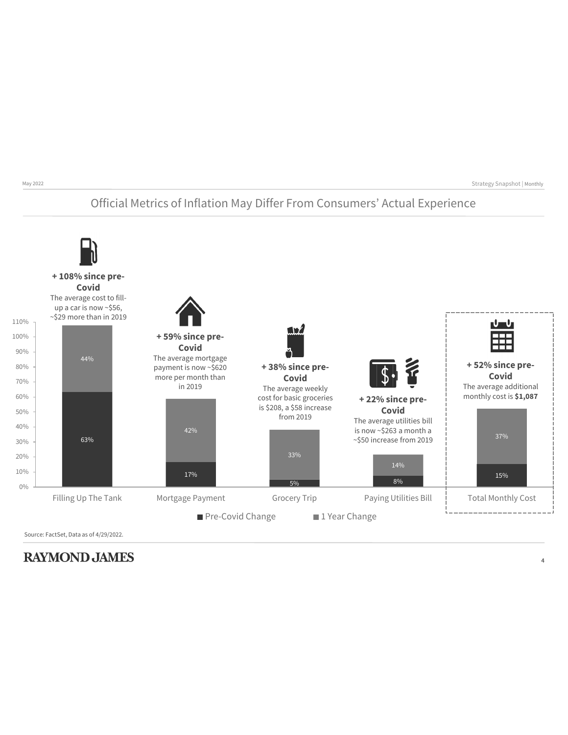## Official Metrics of Inflation May Differ From Consumers' Actual Experience



Source: FactSet, Data as of 4/29/2022.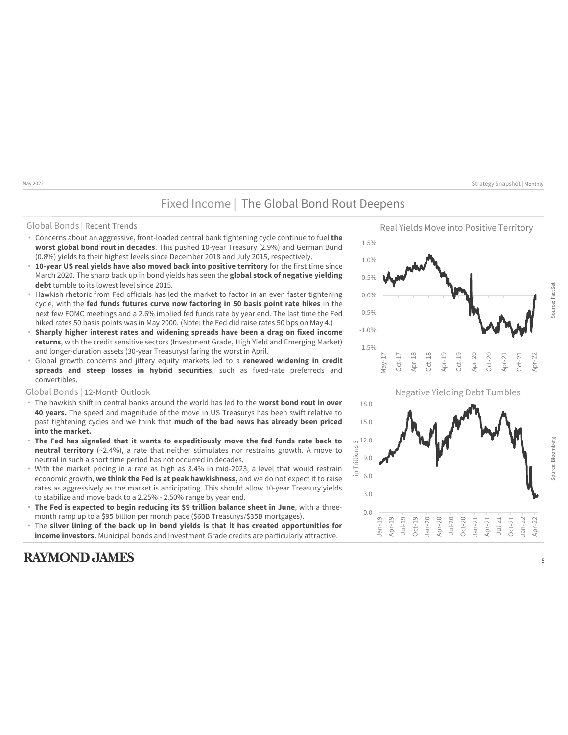### Fixed Income | The Global Bond Rout Deepens

#### Global Bonds | Recent Trends

- Concerns about an aggressive, front-loaded central bank tightening cycle continue to fuel **the worst global bond rout in decades**. This pushed 10-year Treasury (2.9%) and German Bund (0.8%) yields to their highest levels since December 2018 and July 2015, respectively.
- **10-year US real yields have also moved back into positive territory** for the first time since March 2020. The sharp back up in bond yields has seen the **global stock of negative yielding debt** tumble to its lowest level since 2015.
- Hawkish rhetoric from Fed officials has led the market to factor in an even faster tightening cycle, with the **fed funds futures curve now factoring in 50 basis point rate hikes** in the next few FOMC meetings and a 2.6% implied fed funds rate by year end. The last time the Fed hiked rates 50 basis points was in May 2000. (Note: the Fed did raise rates 50 bps on May 4.)
- **Sharply higher interest rates and widening spreads have been a drag on fixed income returns**, with the credit sensitive sectors (Investment Grade, High Yield and Emerging Market) and longer-duration assets (30-year Treasurys) faring the worst in April.
- Global growth concerns and jittery equity markets led to a **renewed widening in credit spreads and steep losses in hybrid securities**, such as fixed-rate preferreds and convertibles.

- The hawkish shift in central banks around the world has led to the **worst bond rout in over 40 years.** The speed and magnitude of the move in US Treasurys has been swift relative to past tightening cycles and we think that **much of the bad news has already been priced into the market.**
- **The Fed has signaled that it wants to expeditiously move the fed funds rate back to neutral territory** (~2.4%), a rate that neither stimulates nor restrains growth. A move to neutral in such a short time period has not occurred in decades.
- With the market pricing in a rate as high as 3.4% in mid-2023, a level that would restrain economic growth, **we think the Fed is at peak hawkishness,** and we do not expect it to raise rates as aggressively as the market is anticipating. This should allow 10-year Treasury yields to stabilize and move back to a 2.25% - 2.50% range by year end.
- **The Fed is expected to begin reducing its \$9 trillion balance sheet in June**, with a threemonth ramp up to a \$95 billion per month pace (\$60B Treasurys/\$35B mortgages).
- The **silver lining of the back up in bond yields is that it has created opportunities for income investors.** Municipal bonds and Investment Grade credits are particularly attractive.

### **RAYMOND JAMES**





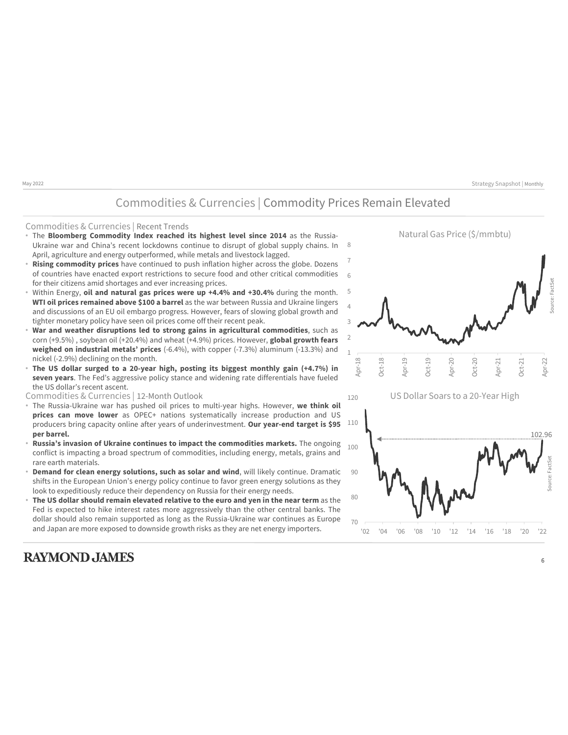### Commodities & Currencies | Commodity Prices Remain Elevated

#### Commodities & Currencies | Recent Trends

- The **Bloomberg Commodity Index reached its highest level since 2014** as the Russia-Ukraine war and China's recent lockdowns continue to disrupt of global supply chains. In April, agriculture and energy outperformed, while metals and livestock lagged.
- **Rising commodity prices** have continued to push inflation higher across the globe. Dozens of countries have enacted export restrictions to secure food and other critical commodities for their citizens amid shortages and ever increasing prices.
- Within Energy, **oil and natural gas prices were up +4.4% and +30.4%** during the month. **WTI oil prices remained above \$100 a barrel** as the war between Russia and Ukraine lingers and discussions of an EU oil embargo progress. However, fears of slowing global growth and tighter monetary policy have seen oil prices come off their recent peak.
- **War and weather disruptions led to strong gains in agricultural commodities**, such as corn (+9.5%) , soybean oil (+20.4%) and wheat (+4.9%) prices. However, **global growth fears weighed on industrial metals' prices** (-6.4%), with copper (-7.3%) aluminum (-13.3%) and nickel (-2.9%) declining on the month.
- **The US dollar surged to a 20-year high, posting its biggest monthly gain (+4.7%) in seven years**. The Fed's aggressive policy stance and widening rate differentials have fueled the US dollar's recent ascent.

- The Russia-Ukraine war has pushed oil prices to multi-year highs. However, **we think oil prices can move lower** as OPEC+ nations systematically increase production and US producers bring capacity online after years of underinvestment. **Our year-end target is \$95 per barrel.**
- **Russia's invasion of Ukraine continues to impact the commodities markets.** The ongoing conflict is impacting a broad spectrum of commodities, including energy, metals, grains and rare earth materials.
- **Demand for clean energy solutions, such as solar and wind, will likely continue. Dramatic** shifts in the European Union's energy policy continue to favor green energy solutions as they look to expeditiously reduce their dependency on Russia for their energy needs.
- **The US dollar should remain elevated relative to the euro and yen in the near term** as the Fed is expected to hike interest rates more aggressively than the other central banks. The dollar should also remain supported as long as the Russia-Ukraine war continues as Europe and Japan are more exposed to downside growth risks as they are net energy importers.

### **RAYMOND JAMES**



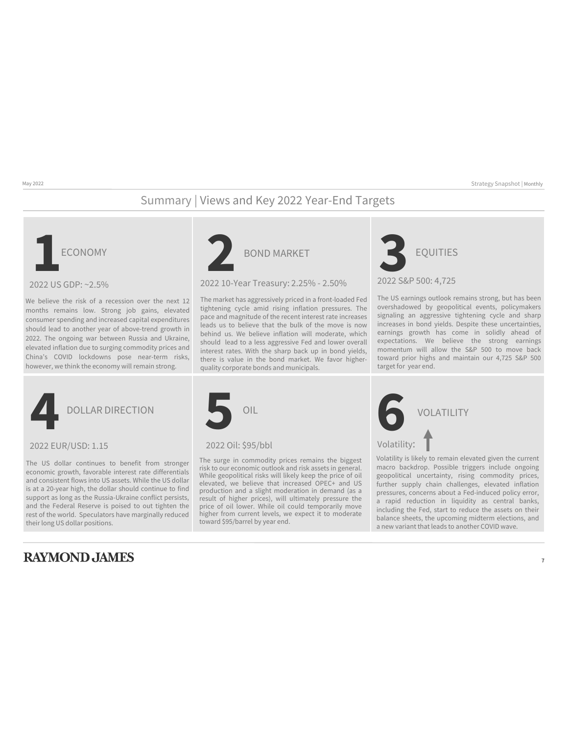## Summary | Views and Key 2022 Year-End Targets



2022 US GDP: ~2.5%

We believe the risk of a recession over the next 12 months remains low. Strong job gains, elevated consumer spending and increased capital expenditures should lead to another year of above-trend growth in 2022. The ongoing war between Russia and Ukraine, elevated inflation due to surging commodity prices and China's COVID lockdowns pose near-term risks, however, we think the economy will remain strong.



### 2022 10-Year Treasury: 2.25% - 2.50%

The market has aggressively priced in a front-loaded Fed tightening cycle amid rising inflation pressures. The pace and magnitude of the recent interest rate increases leads us to believe that the bulk of the move is now behind us. We believe inflation will moderate, which should lead to a less aggressive Fed and lower overall interest rates. With the sharp back up in bond yields, there is value in the bond market. We favor higherquality corporate bonds and municipals.



The US earnings outlook remains strong, but has been overshadowed by geopolitical events, policymakers signaling an aggressive tightening cycle and sharp increases in bond yields. Despite these uncertainties, earnings growth has come in solidly ahead of expectations. We believe the strong earnings momentum will allow the S&P 500 to move back toward prior highs and maintain our 4,725 S&P 500 target for year end.

2022 EUR/USD: 1.15 2022 Oil: \$95/bbl

The US dollar continues to benefit from stronger economic growth, favorable interest rate differentials and consistent flows into US assets. While the US dollar is at a 20-year high, the dollar should continue to find support as long as the Russia-Ukraine conflict persists, and the Federal Reserve is poised to out tighten the rest of the world. Speculators have marginally reduced their long US dollar positions.

### **RAYMOND JAMES**



The surge in commodity prices remains the biggest risk to our economic outlook and risk assets in general. While geopolitical risks will likely keep the price of oil elevated, we believe that increased OPEC+ and US production and a slight moderation in demand (as a result of higher prices), will ultimately pressure the price of oil lower. While oil could temporarily move higher from current levels, we expect it to moderate toward \$95/barrel by year end.



Volatility is likely to remain elevated given the current macro backdrop. Possible triggers include ongoing geopolitical uncertainty, rising commodity prices, further supply chain challenges, elevated inflation pressures, concerns about a Fed-induced policy error, a rapid reduction in liquidity as central banks, including the Fed, start to reduce the assets on their balance sheets, the upcoming midterm elections, and a new variant that leads to another COVID wave.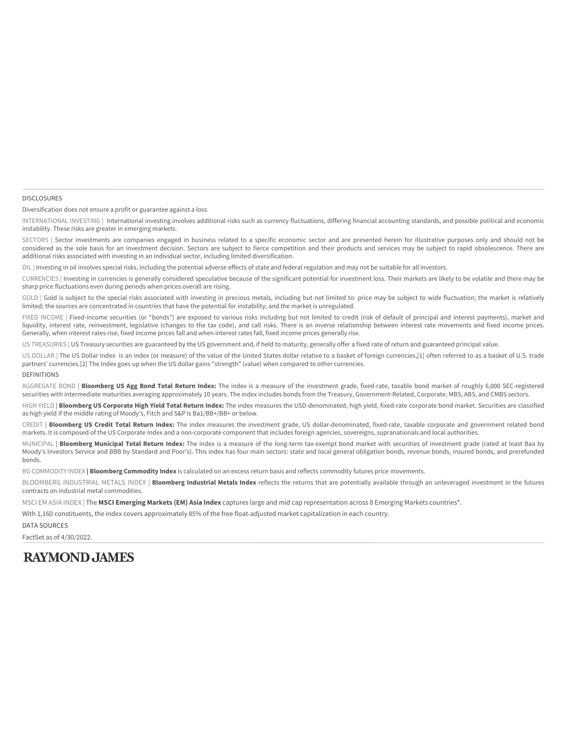#### DISCLOSURES

Diversification does not ensure a profit or guarantee against a loss

INTERNATIONAL INVESTING | International investing involves additional risks such as currency fluctuations, differing financial accounting standards, and possible political and economic instability. These risks are greater in emerging markets.

SECTORS | Sector investments are companies engaged in business related to a specific economic sector and are presented herein for illustrative purposes only and should not be considered as the sole basis for an investment decision. Sectors are subject to fierce competition and their products and services may be subject to rapid obsolescence. There are additional risks associated with investing in an individual sector, including limited diversification.

OIL | Investing in oil involves special risks, including the potential adverse effects of state and federal regulation and may not be suitable for all investors.

CURRENCIES | Investing in currencies is generally considered speculative because of the significant potential for investment loss. Their markets are likely to be volatile and there may be sharp price fluctuations even during periods when prices overall are rising.

GOLD | Gold is subject to the special risks associated with investing in precious metals, including but not limited to: price may be subject to wide fluctuation; the market is relatively limited; the sources are concentrated in countries that have the potential for instability; and the market is unregulated.

FIXED INCOME | Fixed-income securities (or "bonds") are exposed to various risks including but not limited to credit (risk of default of principal and interest payments), market and liquidity, interest rate, reinvestment, legislative (changes to the tax code), and call risks. There is an inverse relationship between interest rate movements and fixed income prices. Generally, when interest rates rise, fixed income prices fall and when interest rates fall, fixed income prices generally rise.

US TREASURIES | US Treasury securities are guaranteed by the US government and, if held to maturity, generally offer a fixed rate of return and guaranteed principal value.

US DOLLAR | The US Dollar Index is an index (or measure) of the value of the United States dollar relative to a basket of foreign currencies,[1] often referred to as a basket of U.S. trade partners' currencies.[2] The Index goes up when the US dollar gains "strength" (value) when compared to other currencies.

#### DEFINITIONS

AGGREGATE BOND | **Bloomberg US Agg Bond Total Return Index:** The index is a measure of the investment grade, fixed-rate, taxable bond market of roughly 6,000 SEC-registered securities with intermediate maturities averaging approximately 10 years. The index includes bonds from the Treasury, Government-Related, Corporate, MBS, ABS, and CMBS sectors.

HIGH YIELD | **Bloomberg US Corporate High Yield Total Return Index:** The index measures the USD-denominated, high yield, fixed-rate corporate bond market. Securities are classified as high yield if the middle rating of Moody's, Fitch and S&P is Ba1/BB+/BB+ or below.

CREDIT | **Bloomberg US Credit Total Return Index:** The index measures the investment grade, US dollar-denominated, fixed-rate, taxable corporate and government related bond markets. It is composed of the US Corporate Index and a non-corporate component that includes foreign agencies, sovereigns, supranationals and local authorities.

MUNICIPAL | **Bloomberg Municipal Total Return Index:** The index is a measure of the long-term tax-exempt bond market with securities of investment grade (rated at least Baa by Moody's Investors Service and BBB by Standard and Poor's). This index has four main sectors: state and local general obligation bonds, revenue bonds, insured bonds, and prerefunded bonds.

BG COMMODITY INDEX **| Bloomberg Commodity Index** is calculated on an excess return basis and reflects commodity futures price movements.

BLOOMBERG INDUSTRIAL METALS INDEX | **Bloomberg Industrial Metals Index** reflects the returns that are potentially available through an unleveraged investment in the futures contracts on industrial metal commodities.

MSCI EM ASIA INDEX | The **MSCI Emerging Markets (EM) Asia Index** captures large and mid cap representation across 8 Emerging Markets countries\*.

With 1,160 constituents, the index covers approximately 85% of the free float-adjusted market capitalization in each country.

DATA SOURCES

FactSet as of 4/30/2022.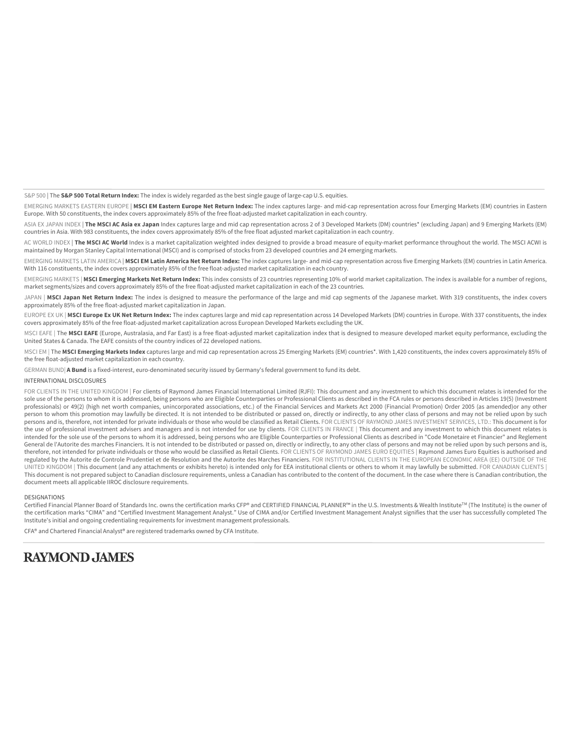S&P 500 | The **S&P 500 Total Return Index:** The index is widely regarded as the best single gauge of large-cap U.S. equities.

EMERGING MARKETS EASTERN EUROPE | **MSCI EM Eastern Europe Net Return Index:** The index captures large- and mid-cap representation across four Emerging Markets (EM) countries in Eastern Europe. With 50 constituents, the index covers approximately 85% of the free float-adjusted market capitalization in each country.

ASIA EX JAPAN INDEX | **The MSCI AC Asia ex Japan** Index captures large and mid cap representation across 2 of 3 Developed Markets (DM) countries\* (excluding Japan) and 9 Emerging Markets (EM) countries in Asia. With 983 constituents, the index covers approximately 85% of the free float adjusted market capitalization in each country.

AC WORLD INDEX | The MSCI AC World Index is a market capitalization weighted index designed to provide a broad measure of equity-market performance throughout the world. The MSCI ACWI is maintained by Morgan Stanley Capital International (MSCI) and is comprised of stocks from 23 developed countries and 24 emerging markets.

EMERGING MARKETS LATIN AMERICA | **MSCI EM Latin America Net Return Index:** The index captures large- and mid-cap representation across five Emerging Markets (EM) countries in Latin America. With 116 constituents, the index covers approximately 85% of the free float-adjusted market capitalization in each country.

EMERGING MARKETS | **MSCI Emerging Markets Net Return Index:** This index consists of 23 countries representing 10% of world market capitalization. The index is available for a number of regions, market segments/sizes and covers approximately 85% of the free float-adjusted market capitalization in each of the 23 countries.

JAPAN | MSCI Japan Net Return Index: The index is designed to measure the performance of the large and mid cap segments of the Japanese market. With 319 constituents, the index covers approximately 85% of the free float-adjusted market capitalization in Japan.

EUROPE EX UK | MSCI Europe Ex UK Net Return Index: The index captures large and mid cap representation across 14 Developed Markets (DM) countries in Europe. With 337 constituents, the index covers approximately 85% of the free float-adjusted market capitalization across European Developed Markets excluding the UK.

MSCI EAFE | The **MSCI EAFE** (Europe, Australasia, and Far East) is a free float-adjusted market capitalization index that is designed to measure developed market equity performance, excluding the United States & Canada. The EAFE consists of the country indices of 22 developed nations.

MSCI EM | The MSCI Emerging Markets Index captures large and mid cap representation across 25 Emerging Markets (EM) countries\*. With 1,420 constituents, the index covers approximately 85% of the free float-adjusted market capitalization in each country.

GERMAN BUND| **A Bund** is a fixed-interest, euro-denominated security issued by Germany's federal government to fund its debt.

#### INTERNATIONAL DISCLOSURES

FOR CLIENTS IN THE UNITED KINGDOM | For clients of Raymond James Financial International Limited (RJFI): This document and any investment to which this document relates is intended for the sole use of the persons to whom it is addressed, being persons who are Eligible Counterparties or Professional Clients as described in the FCA rules or persons described in Articles 19(5) (Investment professionals) or 49(2) (high net worth companies, unincorporated associations, etc.) of the Financial Services and Markets Act 2000 (Financial Promotion) Order 2005 (as amended)or any other person to whom this promotion may lawfully be directed. It is not intended to be distributed or passed on, directly or indirectly, to any other class of persons and may not be relied upon by such persons and is, therefore, not intended for private individuals or those who would be classified as Retail Clients. FOR CLIENTS OF RAYMOND JAMES INVESTMENT SERVICES, LTD.: This document is for the use of professional investment advisers and managers and is not intended for use by clients. FOR CLIENTS IN FRANCE | This document and any investment to which this document relates is intended for the sole use of the persons to whom it is addressed, being persons who are Eligible Counterparties or Professional Clients as described in "Code Monetaire et Financier" and Reglement General de l'Autorite des marches Financiers. It is not intended to be distributed or passed on, directly or indirectly, to any other class of persons and may not be relied upon by such persons and is, therefore, not intended for private individuals or those who would be classified as Retail Clients. FOR CLIENTS OF RAYMOND JAMES EURO EQUITIES | Raymond James Euro Equities is authorised and regulated by the Autorite de Controle Prudentiel et de Resolution and the Autorite des Marches Financiers. FOR INSTITUTIONAL CLIENTS IN THE EUROPEAN ECONOMIC AREA (EE) OUTSIDE OF THE UNITED KINGDOM | This document (and any attachments or exhibits hereto) is intended only for EEA institutional clients or others to whom it may lawfully be submitted. FOR CANADIAN CLIENTS | This document is not prepared subject to Canadian disclosure requirements, unless a Canadian has contributed to the content of the document. In the case where there is Canadian contribution, the document meets all applicable IIROC disclosure requirements.

#### DESIGNATIONS

Certified Financial Planner Board of Standards Inc. owns the certification marks CFP® and CERTIFIED FINANCIAL PLANNER™ in the U.S. Investments & Wealth Institute™ (The Institute) is the owner of the certification marks "CIMA" and "Certified Investment Management Analyst." Use of CIMA and/or Certified Investment Management Analyst signifies that the user has successfully completed The Institute's initial and ongoing credentialing requirements for investment management professionals.

CFA® and Chartered Financial Analyst® are registered trademarks owned by CFA Institute.